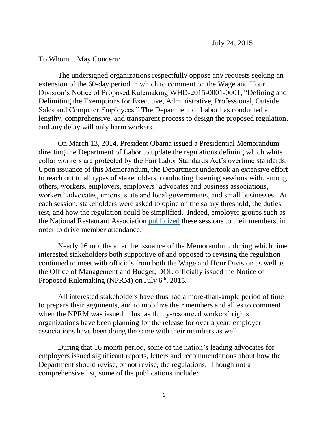## To Whom it May Concern:

The undersigned organizations respectfully oppose any requests seeking an extension of the 60-day period in which to comment on the Wage and Hour Division's Notice of Proposed Rulemaking WHD-2015-0001-0001, "Defining and Delimiting the Exemptions for Executive, Administrative, Professional, Outside Sales and Computer Employees." The Department of Labor has conducted a lengthy, comprehensive, and transparent process to design the proposed regulation, and any delay will only harm workers.

On March 13, 2014, President Obama issued a Presidential Memorandum directing the Department of Labor to update the regulations defining which white collar workers are protected by the Fair Labor Standards Act's overtime standards. Upon issuance of this Memorandum, the Department undertook an extensive effort to reach out to all types of stakeholders, conducting listening sessions with, among others, workers, employers, employers' advocates and business associations, workers' advocates, unions, state and local governments, and small businesses. At each session, stakeholders were asked to opine on the salary threshold, the duties test, and how the regulation could be simplified. Indeed, employer groups such as the National Restaurant Association [publicized](http://www.restaurant.org/News-Research/News/Wanted-Your-thoughts-on-possible-wage-and-overtime) these sessions to their members, in order to drive member attendance.

Nearly 16 months after the issuance of the Memorandum, during which time interested stakeholders both supportive of and opposed to revising the regulation continued to meet with officials from both the Wage and Hour Division as well as the Office of Management and Budget, DOL officially issued the Notice of Proposed Rulemaking (NPRM) on July  $6<sup>th</sup>$ , 2015.

All interested stakeholders have thus had a more-than-ample period of time to prepare their arguments, and to mobilize their members and allies to comment when the NPRM was issued. Just as thinly-resourced workers' rights organizations have been planning for the release for over a year, employer associations have been doing the same with their members as well.

During that 16 month period, some of the nation's leading advocates for employers issued significant reports, letters and recommendations about how the Department should revise, or not revise, the regulations. Though not a comprehensive list, some of the publications include: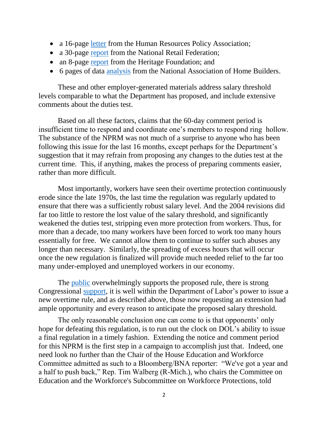- a 16-page [letter](http://www.hrpolicy.org/downloads/2014/14-55_Letter_to_Perez_re_FLSA_Update.pdf) from the Human Resources Policy Association;
- a 30-page [report](http://op.bna.com/dlrcases.nsf/id/gcii-9wnlmv/$File/NRF%20Report%20on%20Rethinking%20Overtime.pdf) from the National Retail Federation;
- an 8-page [report](http://thf_media.s3.amazonaws.com/2015/pdf/BG3031.pdf) from the Heritage Foundation; and
- 6 pages of data [analysis](http://www.nahb.org/~/media/Sites/NAHB/Research/Priorities/Overtime-Wages-State-by-State-Analysis.ashx?la=en) from the National Association of Home Builders.

These and other employer-generated materials address salary threshold levels comparable to what the Department has proposed, and include extensive comments about the duties test.

Based on all these factors, claims that the 60-day comment period is insufficient time to respond and coordinate one's members to respond ring hollow. The substance of the NPRM was not much of a surprise to anyone who has been following this issue for the last 16 months, except perhaps for the Department's suggestion that it may refrain from proposing any changes to the duties test at the current time. This, if anything, makes the process of preparing comments easier, rather than more difficult.

Most importantly, workers have seen their overtime protection continuously erode since the late 1970s, the last time the regulation was regularly updated to ensure that there was a sufficiently robust salary level. And the 2004 revisions did far too little to restore the lost value of the salary threshold, and significantly weakened the duties test, stripping even more protection from workers. Thus, for more than a decade, too many workers have been forced to work too many hours essentially for free. We cannot allow them to continue to suffer such abuses any longer than necessary. Similarly, the spreading of excess hours that will occur once the new regulation is finalized will provide much needed relief to the far too many under-employed and unemployed workers in our economy.

The <u>public</u> overwhelmingly supports the proposed rule, there is strong Congressional [support,](http://thehill.com/policy/finance/248464-congressional-dems-back-obama-on-overtime-rules) it is well within the Department of Labor's power to issue a new overtime rule, and as described above, those now requesting an extension had ample opportunity and every reason to anticipate the proposed salary threshold.

The only reasonable conclusion one can come to is that opponents' only hope for defeating this regulation, is to run out the clock on DOL's ability to issue a final regulation in a timely fashion. Extending the notice and comment period for this NPRM is the first step in a campaign to accomplish just that.Indeed, one need look no further than the Chair of the House Education and Workforce Committee admitted as such to a Bloomberg/BNA reporter: "We've got a year and a half to push back," Rep. Tim Walberg (R-Mich.), who chairs the Committee on Education and the Workforce's Subcommittee on Workforce Protections, told